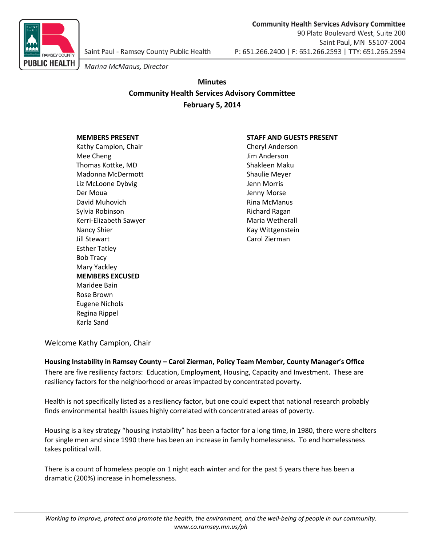

90 Plato Boulevard West, Suite 200 Saint Paul, MN 55107-2004 P: 651.266.2400 | F: 651.266.2593 | TTY: 651.266.2594

**Community Health Services Advisory Committee** 

Marina McManus, Director

# **Minutes Community Health Services Advisory Committee February 5, 2014**

Kathy Campion, Chair Cheryl Anderson Mee Cheng and a state of the United States of the United States of the United States of the United States of the United States of the United States of the United States of the United States of the United States of the Unit Thomas Kottke, MD Shakleen Maku Madonna McDermott **Shaulie Meyer** Shaulie Meyer Liz McLoone Dybvig Jenn Morris Der Moua **Der Moua** Jenny Morse David Muhovich **Rina McManus** Sylvia Robinson **Richard Ragan** Richard Ragan Kerri-Elizabeth Sawyer **Maria Wetherall** Nancy Shier **Kay Wittgenstein** Jill Stewart **Carol Zierman** Esther Tatley Bob Tracy Mary Yackley **MEMBERS EXCUSED** Maridee Bain Rose Brown Eugene Nichols Regina Rippel Karla Sand

### **MEMBERS PRESENT STAFF AND GUESTS PRESENT**

Welcome Kathy Campion, Chair

### **Housing Instability in Ramsey County – Carol Zierman, Policy Team Member, County Manager's Office** There are five resiliency factors: Education, Employment, Housing, Capacity and Investment. These are resiliency factors for the neighborhood or areas impacted by concentrated poverty.

Health is not specifically listed as a resiliency factor, but one could expect that national research probably finds environmental health issues highly correlated with concentrated areas of poverty.

Housing is a key strategy "housing instability" has been a factor for a long time, in 1980, there were shelters for single men and since 1990 there has been an increase in family homelessness. To end homelessness takes political will.

There is a count of homeless people on 1 night each winter and for the past 5 years there has been a dramatic (200%) increase in homelessness.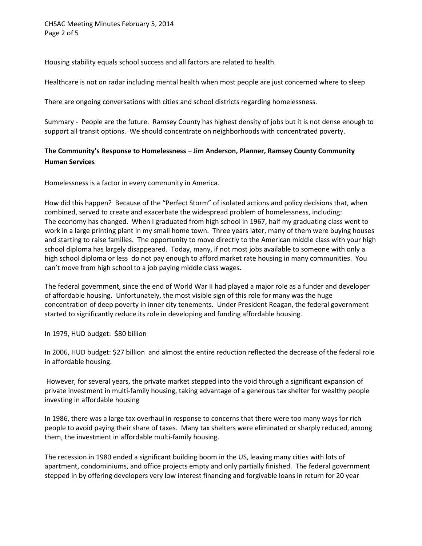CHSAC Meeting Minutes February 5, 2014 Page 2 of 5

Housing stability equals school success and all factors are related to health.

Healthcare is not on radar including mental health when most people are just concerned where to sleep

There are ongoing conversations with cities and school districts regarding homelessness.

Summary - People are the future. Ramsey County has highest density of jobs but it is not dense enough to support all transit options. We should concentrate on neighborhoods with concentrated poverty.

### **The Community's Response to Homelessness – Jim Anderson, Planner, Ramsey County Community Human Services**

Homelessness is a factor in every community in America.

How did this happen? Because of the "Perfect Storm" of isolated actions and policy decisions that, when combined, served to create and exacerbate the widespread problem of homelessness, including: The economy has changed. When I graduated from high school in 1967, half my graduating class went to work in a large printing plant in my small home town. Three years later, many of them were buying houses and starting to raise families. The opportunity to move directly to the American middle class with your high school diploma has largely disappeared. Today, many, if not most jobs available to someone with only a high school diploma or less do not pay enough to afford market rate housing in many communities. You can't move from high school to a job paying middle class wages.

The federal government, since the end of World War II had played a major role as a funder and developer of affordable housing. Unfortunately, the most visible sign of this role for many was the huge concentration of deep poverty in inner city tenements. Under President Reagan, the federal government started to significantly reduce its role in developing and funding affordable housing.

In 1979, HUD budget: \$80 billion

In 2006, HUD budget: \$27 billion and almost the entire reduction reflected the decrease of the federal role in affordable housing.

However, for several years, the private market stepped into the void through a significant expansion of private investment in multi-family housing, taking advantage of a generous tax shelter for wealthy people investing in affordable housing

In 1986, there was a large tax overhaul in response to concerns that there were too many ways for rich people to avoid paying their share of taxes. Many tax shelters were eliminated or sharply reduced, among them, the investment in affordable multi-family housing.

The recession in 1980 ended a significant building boom in the US, leaving many cities with lots of apartment, condominiums, and office projects empty and only partially finished. The federal government stepped in by offering developers very low interest financing and forgivable loans in return for 20 year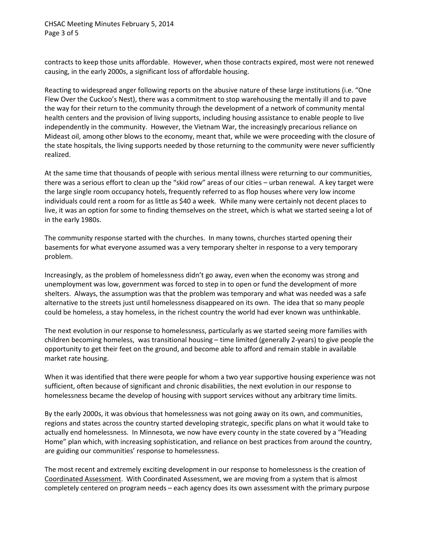CHSAC Meeting Minutes February 5, 2014 Page 3 of 5

contracts to keep those units affordable. However, when those contracts expired, most were not renewed causing, in the early 2000s, a significant loss of affordable housing.

Reacting to widespread anger following reports on the abusive nature of these large institutions (i.e. "One Flew Over the Cuckoo's Nest), there was a commitment to stop warehousing the mentally ill and to pave the way for their return to the community through the development of a network of community mental health centers and the provision of living supports, including housing assistance to enable people to live independently in the community. However, the Vietnam War, the increasingly precarious reliance on Mideast oil, among other blows to the economy, meant that, while we were proceeding with the closure of the state hospitals, the living supports needed by those returning to the community were never sufficiently realized.

At the same time that thousands of people with serious mental illness were returning to our communities, there was a serious effort to clean up the "skid row" areas of our cities – urban renewal. A key target were the large single room occupancy hotels, frequently referred to as flop houses where very low income individuals could rent a room for as little as \$40 a week. While many were certainly not decent places to live, it was an option for some to finding themselves on the street, which is what we started seeing a lot of in the early 1980s.

The community response started with the churches. In many towns, churches started opening their basements for what everyone assumed was a very temporary shelter in response to a very temporary problem.

Increasingly, as the problem of homelessness didn't go away, even when the economy was strong and unemployment was low, government was forced to step in to open or fund the development of more shelters. Always, the assumption was that the problem was temporary and what was needed was a safe alternative to the streets just until homelessness disappeared on its own. The idea that so many people could be homeless, a stay homeless, in the richest country the world had ever known was unthinkable.

The next evolution in our response to homelessness, particularly as we started seeing more families with children becoming homeless, was transitional housing – time limited (generally 2-years) to give people the opportunity to get their feet on the ground, and become able to afford and remain stable in available market rate housing.

When it was identified that there were people for whom a two year supportive housing experience was not sufficient, often because of significant and chronic disabilities, the next evolution in our response to homelessness became the develop of housing with support services without any arbitrary time limits.

By the early 2000s, it was obvious that homelessness was not going away on its own, and communities, regions and states across the country started developing strategic, specific plans on what it would take to actually end homelessness. In Minnesota, we now have every county in the state covered by a "Heading Home" plan which, with increasing sophistication, and reliance on best practices from around the country, are guiding our communities' response to homelessness.

The most recent and extremely exciting development in our response to homelessness is the creation of Coordinated Assessment. With Coordinated Assessment, we are moving from a system that is almost completely centered on program needs – each agency does its own assessment with the primary purpose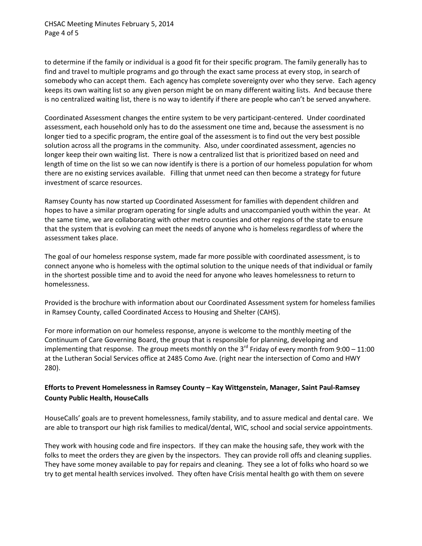CHSAC Meeting Minutes February 5, 2014 Page 4 of 5

to determine if the family or individual is a good fit for their specific program. The family generally has to find and travel to multiple programs and go through the exact same process at every stop, in search of somebody who can accept them. Each agency has complete sovereignty over who they serve. Each agency keeps its own waiting list so any given person might be on many different waiting lists. And because there is no centralized waiting list, there is no way to identify if there are people who can't be served anywhere.

Coordinated Assessment changes the entire system to be very participant-centered. Under coordinated assessment, each household only has to do the assessment one time and, because the assessment is no longer tied to a specific program, the entire goal of the assessment is to find out the very best possible solution across all the programs in the community. Also, under coordinated assessment, agencies no longer keep their own waiting list. There is now a centralized list that is prioritized based on need and length of time on the list so we can now identify is there is a portion of our homeless population for whom there are no existing services available. Filling that unmet need can then become a strategy for future investment of scarce resources.

Ramsey County has now started up Coordinated Assessment for families with dependent children and hopes to have a similar program operating for single adults and unaccompanied youth within the year. At the same time, we are collaborating with other metro counties and other regions of the state to ensure that the system that is evolving can meet the needs of anyone who is homeless regardless of where the assessment takes place.

The goal of our homeless response system, made far more possible with coordinated assessment, is to connect anyone who is homeless with the optimal solution to the unique needs of that individual or family in the shortest possible time and to avoid the need for anyone who leaves homelessness to return to homelessness.

Provided is the brochure with information about our Coordinated Assessment system for homeless families in Ramsey County, called Coordinated Access to Housing and Shelter (CAHS).

For more information on our homeless response, anyone is welcome to the monthly meeting of the Continuum of Care Governing Board, the group that is responsible for planning, developing and implementing that response. The group meets monthly on the  $3^{rd}$  Friday of every month from 9:00 – 11:00 at the Lutheran Social Services office at 2485 Como Ave. (right near the intersection of Como and HWY 280).

## **Efforts to Prevent Homelessness in Ramsey County – Kay Wittgenstein, Manager, Saint Paul-Ramsey County Public Health, HouseCalls**

HouseCalls' goals are to prevent homelessness, family stability, and to assure medical and dental care. We are able to transport our high risk families to medical/dental, WIC, school and social service appointments.

They work with housing code and fire inspectors. If they can make the housing safe, they work with the folks to meet the orders they are given by the inspectors. They can provide roll offs and cleaning supplies. They have some money available to pay for repairs and cleaning. They see a lot of folks who hoard so we try to get mental health services involved. They often have Crisis mental health go with them on severe